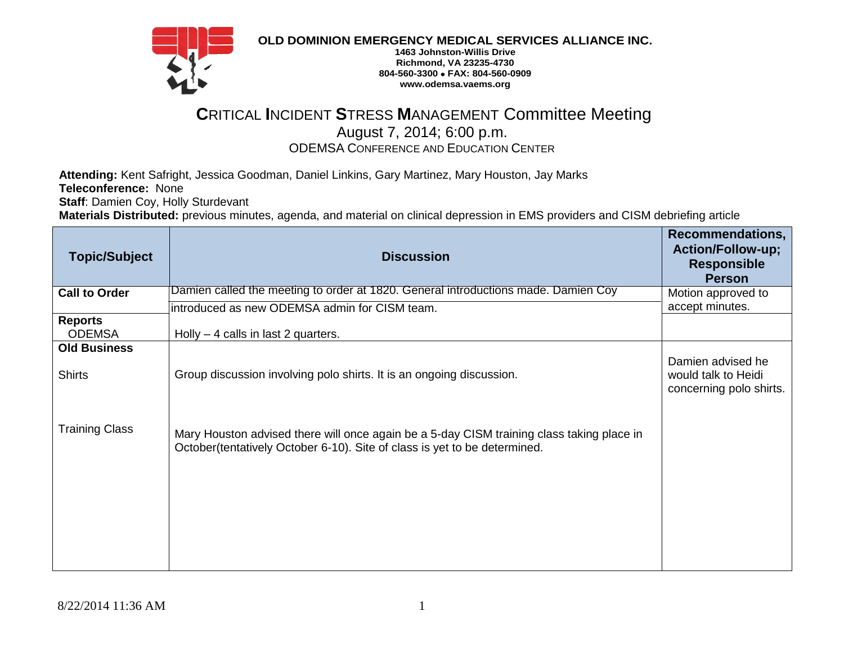

**OLD DOMINION EMERGENCY MEDICAL SERVICES ALLIANCE INC.**

**1463 Johnston-Willis Drive Richmond, VA 23235-4730 804-560-3300 FAX: 804-560-0909 www.odemsa.vaems.org**

## **C**RITICAL **I**NCIDENT **S**TRESS **M**ANAGEMENT Committee Meeting August 7, 2014; 6:00 p.m. ODEMSA CONFERENCE AND EDUCATION CENTER

**Attending:** Kent Safright, Jessica Goodman, Daniel Linkins, Gary Martinez, Mary Houston, Jay Marks **Teleconference:** None

**Staff**: Damien Coy, Holly Sturdevant

**Materials Distributed:** previous minutes, agenda, and material on clinical depression in EMS providers and CISM debriefing article

| <b>Topic/Subject</b>                 | <b>Discussion</b>                                                                                                                                                       | <b>Recommendations,</b><br><b>Action/Follow-up;</b><br><b>Responsible</b><br><b>Person</b> |
|--------------------------------------|-------------------------------------------------------------------------------------------------------------------------------------------------------------------------|--------------------------------------------------------------------------------------------|
| <b>Call to Order</b>                 | Damien called the meeting to order at 1820. General introductions made. Damien Coy<br>introduced as new ODEMSA admin for CISM team.                                     | Motion approved to<br>accept minutes.                                                      |
| <b>Reports</b><br><b>ODEMSA</b>      | Holly $-$ 4 calls in last 2 quarters.                                                                                                                                   |                                                                                            |
| <b>Old Business</b><br><b>Shirts</b> | Group discussion involving polo shirts. It is an ongoing discussion.                                                                                                    | Damien advised he<br>would talk to Heidi<br>concerning polo shirts.                        |
| <b>Training Class</b>                | Mary Houston advised there will once again be a 5-day CISM training class taking place in<br>October (tentatively October 6-10). Site of class is yet to be determined. |                                                                                            |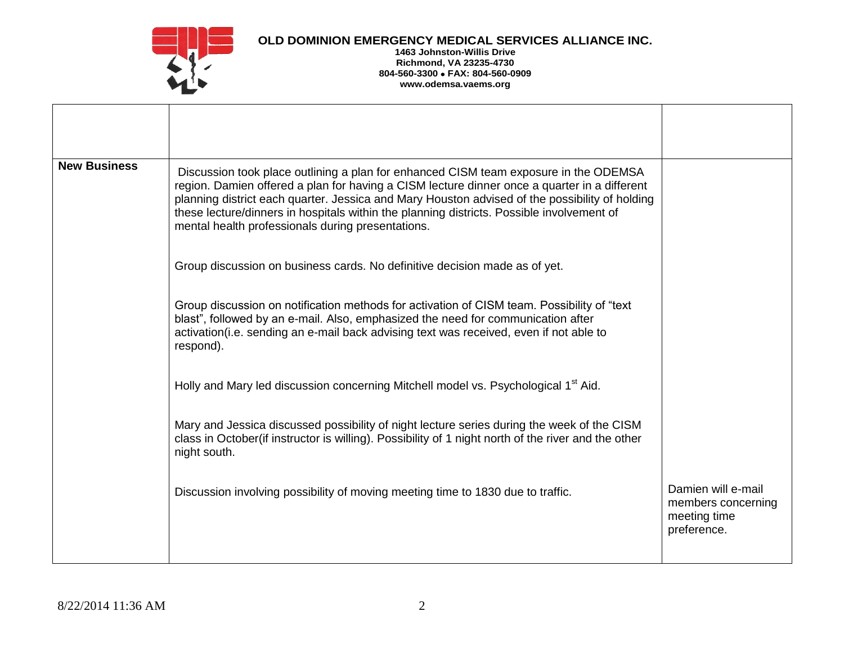

## **OLD DOMINION EMERGENCY MEDICAL SERVICES ALLIANCE INC.**

## **1463 Johnston-Willis Drive Richmond, VA 23235-4730 804-560-3300 FAX: 804-560-0909 www.odemsa.vaems.org**

| <b>New Business</b> | Discussion took place outlining a plan for enhanced CISM team exposure in the ODEMSA<br>region. Damien offered a plan for having a CISM lecture dinner once a quarter in a different<br>planning district each quarter. Jessica and Mary Houston advised of the possibility of holding<br>these lecture/dinners in hospitals within the planning districts. Possible involvement of<br>mental health professionals during presentations. |                                                                         |
|---------------------|------------------------------------------------------------------------------------------------------------------------------------------------------------------------------------------------------------------------------------------------------------------------------------------------------------------------------------------------------------------------------------------------------------------------------------------|-------------------------------------------------------------------------|
|                     | Group discussion on business cards. No definitive decision made as of yet.                                                                                                                                                                                                                                                                                                                                                               |                                                                         |
|                     | Group discussion on notification methods for activation of CISM team. Possibility of "text"<br>blast", followed by an e-mail. Also, emphasized the need for communication after<br>activation(i.e. sending an e-mail back advising text was received, even if not able to<br>respond).                                                                                                                                                   |                                                                         |
|                     | Holly and Mary led discussion concerning Mitchell model vs. Psychological 1 <sup>st</sup> Aid.                                                                                                                                                                                                                                                                                                                                           |                                                                         |
|                     | Mary and Jessica discussed possibility of night lecture series during the week of the CISM<br>class in October (if instructor is willing). Possibility of 1 night north of the river and the other<br>night south.                                                                                                                                                                                                                       |                                                                         |
|                     | Discussion involving possibility of moving meeting time to 1830 due to traffic.                                                                                                                                                                                                                                                                                                                                                          | Damien will e-mail<br>members concerning<br>meeting time<br>preference. |